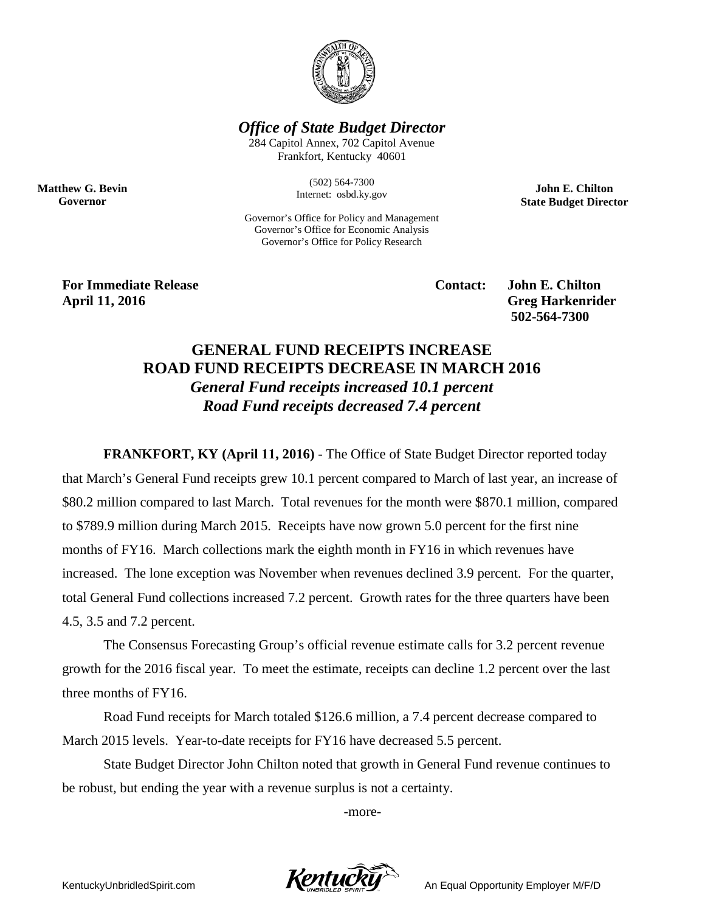

*Office of State Budget Director*

284 Capitol Annex, 702 Capitol Avenue Frankfort, Kentucky 40601

> (502) 564-7300 Internet: osbd.ky.gov

Governor's Office for Policy and Management Governor's Office for Economic Analysis Governor's Office for Policy Research

**John E. Chilton State Budget Director**

For Immediate Release **Contact:** John E. Chilton **April 11, 2016 Greg Harkenrider**

**Matthew G. Bevin Governor**

 **502-564-7300** 

## **GENERAL FUND RECEIPTS INCREASE ROAD FUND RECEIPTS DECREASE IN MARCH 2016** *General Fund receipts increased 10.1 percent Road Fund receipts decreased 7.4 percent*

**FRANKFORT, KY (April 11, 2016)** - The Office of State Budget Director reported today that March's General Fund receipts grew 10.1 percent compared to March of last year, an increase of \$80.2 million compared to last March. Total revenues for the month were \$870.1 million, compared to \$789.9 million during March 2015. Receipts have now grown 5.0 percent for the first nine months of FY16. March collections mark the eighth month in FY16 in which revenues have increased. The lone exception was November when revenues declined 3.9 percent. For the quarter, total General Fund collections increased 7.2 percent. Growth rates for the three quarters have been 4.5, 3.5 and 7.2 percent.

The Consensus Forecasting Group's official revenue estimate calls for 3.2 percent revenue growth for the 2016 fiscal year. To meet the estimate, receipts can decline 1.2 percent over the last three months of FY16.

Road Fund receipts for March totaled \$126.6 million, a 7.4 percent decrease compared to March 2015 levels. Year-to-date receipts for FY16 have decreased 5.5 percent.

State Budget Director John Chilton noted that growth in General Fund revenue continues to be robust, but ending the year with a revenue surplus is not a certainty.

-more-

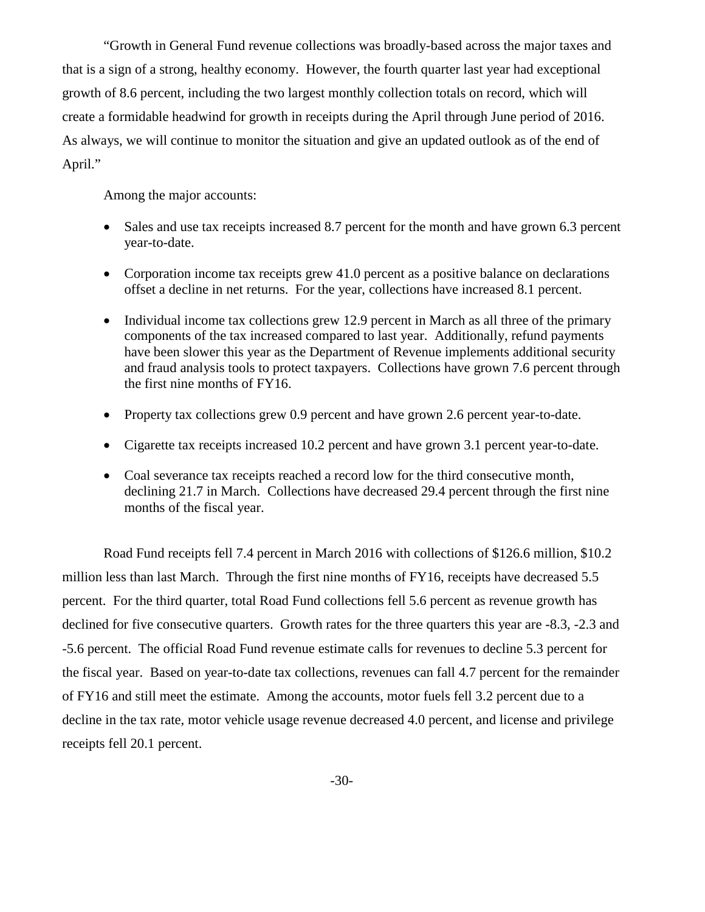"Growth in General Fund revenue collections was broadly-based across the major taxes and that is a sign of a strong, healthy economy. However, the fourth quarter last year had exceptional growth of 8.6 percent, including the two largest monthly collection totals on record, which will create a formidable headwind for growth in receipts during the April through June period of 2016. As always, we will continue to monitor the situation and give an updated outlook as of the end of April."

Among the major accounts:

- Sales and use tax receipts increased 8.7 percent for the month and have grown 6.3 percent year-to-date.
- Corporation income tax receipts grew 41.0 percent as a positive balance on declarations offset a decline in net returns. For the year, collections have increased 8.1 percent.
- Individual income tax collections grew 12.9 percent in March as all three of the primary components of the tax increased compared to last year. Additionally, refund payments have been slower this year as the Department of Revenue implements additional security and fraud analysis tools to protect taxpayers. Collections have grown 7.6 percent through the first nine months of FY16.
- Property tax collections grew 0.9 percent and have grown 2.6 percent year-to-date.
- Cigarette tax receipts increased 10.2 percent and have grown 3.1 percent year-to-date.
- Coal severance tax receipts reached a record low for the third consecutive month, declining 21.7 in March. Collections have decreased 29.4 percent through the first nine months of the fiscal year.

Road Fund receipts fell 7.4 percent in March 2016 with collections of \$126.6 million, \$10.2 million less than last March. Through the first nine months of FY16, receipts have decreased 5.5 percent. For the third quarter, total Road Fund collections fell 5.6 percent as revenue growth has declined for five consecutive quarters. Growth rates for the three quarters this year are -8.3, -2.3 and -5.6 percent. The official Road Fund revenue estimate calls for revenues to decline 5.3 percent for the fiscal year. Based on year-to-date tax collections, revenues can fall 4.7 percent for the remainder of FY16 and still meet the estimate. Among the accounts, motor fuels fell 3.2 percent due to a decline in the tax rate, motor vehicle usage revenue decreased 4.0 percent, and license and privilege receipts fell 20.1 percent.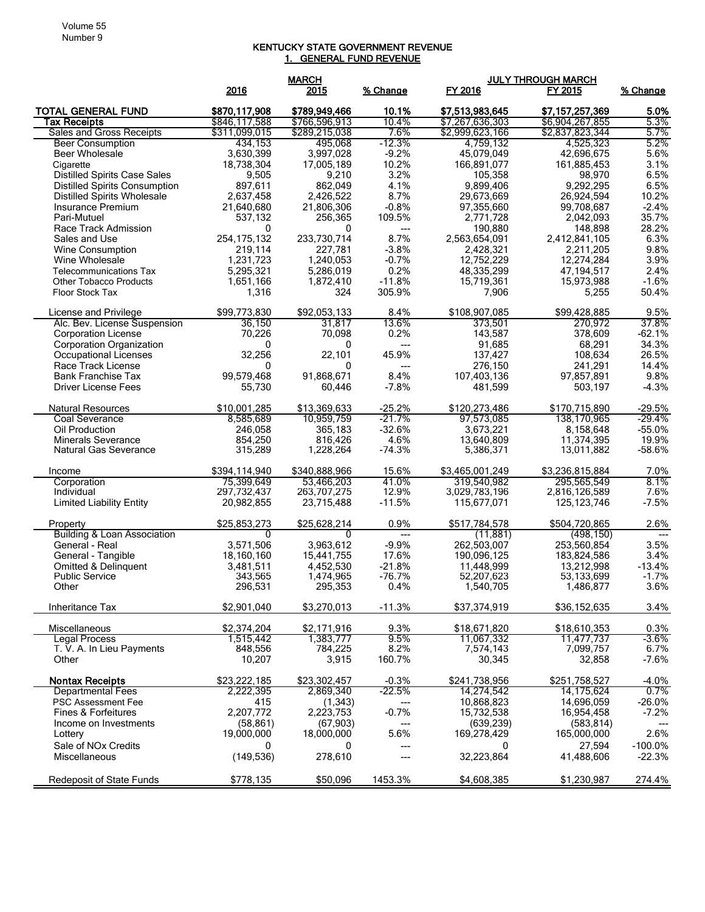## KENTUCKY STATE GOVERNMENT REVENUE 1. GENERAL FUND REVENUE

|                                                       |               | <b>MARCH</b>  |               | <b>JULY THROUGH MARCH</b> |                    |               |  |
|-------------------------------------------------------|---------------|---------------|---------------|---------------------------|--------------------|---------------|--|
|                                                       | 2016          | 2015          | % Change      | FY 2016                   | FY 2015            | % Change      |  |
|                                                       |               |               |               |                           |                    |               |  |
| <b>TOTAL GENERAL FUND</b>                             | \$870,117,908 | \$789,949,466 | 10.1%         | \$7,513,983,645           | \$7,157,257,369    | 5.0%          |  |
| <b>Tax Receipts</b>                                   | \$846,117,588 | \$766,596,913 | 10.4%         | \$7,267,636,303           | \$6,904,267,855    | 5.3%          |  |
| Sales and Gross Receipts                              | \$311,099,015 | \$289,215,038 | 7.6%          | \$2,999,623,166           | \$2,837,823,344    | 5.7%          |  |
| <b>Beer Consumption</b>                               | 434,153       | 495.068       | $-12.3%$      | 4,759,132                 | 4,525,323          | 5.2%          |  |
| Beer Wholesale                                        | 3.630.399     | 3,997,028     | $-9.2%$       | 45.079.049                | 42,696,675         | 5.6%          |  |
| Cigarette                                             | 18,738,304    | 17,005,189    | 10.2%         | 166,891,077               | 161,885,453        | 3.1%          |  |
| <b>Distilled Spirits Case Sales</b>                   | 9,505         | 9,210         | 3.2%          | 105,358                   | 98,970             | 6.5%          |  |
| <b>Distilled Spirits Consumption</b>                  | 897,611       | 862,049       | 4.1%          | 9,899,406                 | 9,292,295          | 6.5%          |  |
| <b>Distilled Spirits Wholesale</b>                    | 2,637,458     | 2,426,522     | 8.7%          | 29,673,669                | 26,924,594         | 10.2%         |  |
| Insurance Premium                                     | 21,640,680    | 21,806,306    | $-0.8%$       | 97,355,660                | 99,708,687         | $-2.4%$       |  |
| Pari-Mutuel                                           | 537,132       | 256,365       | 109.5%        | 2,771,728                 | 2,042,093          | 35.7%         |  |
| Race Track Admission                                  | 0             | 0             | $---$         | 190,880                   | 148,898            | 28.2%         |  |
| Sales and Use                                         | 254, 175, 132 | 233,730,714   | 8.7%          | 2,563,654,091             | 2,412,841,105      | 6.3%          |  |
| <b>Wine Consumption</b>                               | 219,114       | 227,781       | $-3.8%$       | 2,428,321                 | 2,211,205          | 9.8%          |  |
| Wine Wholesale                                        | 1,231,723     | 1,240,053     | $-0.7%$       | 12,752,229                | 12,274,284         | 3.9%          |  |
| <b>Telecommunications Tax</b>                         | 5,295,321     | 5,286,019     | 0.2%          | 48,335,299                | 47,194,517         | 2.4%          |  |
| <b>Other Tobacco Products</b>                         | 1,651,166     | 1,872,410     | $-11.8%$      | 15,719,361                | 15,973,988         | $-1.6%$       |  |
| Floor Stock Tax                                       | 1,316         | 324           | 305.9%        | 7,906                     | 5,255              | 50.4%         |  |
|                                                       |               |               |               |                           |                    |               |  |
| License and Privilege<br>Alc. Bev. License Suspension | \$99,773,830  | \$92,053,133  | 8.4%<br>13.6% | \$108,907,085             | \$99,428,885       | 9.5%<br>37.8% |  |
|                                                       | 36,150        | 31,817        |               | 373,501                   | 270,972<br>378.609 |               |  |
| <b>Corporation License</b>                            | 70,226        | 70,098        | 0.2%          | 143,587                   |                    | $-62.1%$      |  |
| Corporation Organization                              | 0             | 0             | $---$         | 91,685                    | 68,291             | 34.3%         |  |
| Occupational Licenses                                 | 32,256        | 22,101        | 45.9%         | 137,427                   | 108,634            | 26.5%         |  |
| Race Track License                                    | 0             | 0             | $---$         | 276,150                   | 241,291            | 14.4%         |  |
| <b>Bank Franchise Tax</b>                             | 99,579,468    | 91,868,671    | 8.4%          | 107,403,136               | 97,857,891         | 9.8%          |  |
| <b>Driver License Fees</b>                            | 55,730        | 60,446        | $-7.8%$       | 481.599                   | 503,197            | $-4.3%$       |  |
| Natural Resources                                     | \$10,001,285  | \$13,369,633  | $-25.2%$      | \$120,273,486             | \$170,715,890      | $-29.5%$      |  |
| <b>Coal Severance</b>                                 | 8,585,689     | 10,959,759    | $-21.7%$      | 97,573,085                | 138,170,965        | $-29.4%$      |  |
| Oil Production                                        | 246,058       | 365,183       | $-32.6%$      | 3,673,221                 | 8,158,648          | $-55.0%$      |  |
| <b>Minerals Severance</b>                             | 854,250       | 816,426       | 4.6%          | 13,640,809                | 11,374,395         | 19.9%         |  |
| Natural Gas Severance                                 | 315,289       | 1,228,264     | $-74.3%$      | 5,386,371                 | 13,011,882         | $-58.6%$      |  |
|                                                       |               |               |               |                           |                    |               |  |
| Income                                                | \$394,114,940 | \$340,888,966 | 15.6%         | \$3,465,001,249           | \$3,236,815,884    | 7.0%          |  |
| Corporation                                           | 75,399,649    | 53,466,203    | 41.0%         | 319.540.982               | 295,565,549        | 8.1%          |  |
| Individual                                            | 297,732,437   | 263,707,275   | 12.9%         | 3,029,783,196             | 2,816,126,589      | 7.6%          |  |
| <b>Limited Liability Entity</b>                       | 20,982,855    | 23,715,488    | $-11.5%$      | 115,677,071               | 125, 123, 746      | $-7.5%$       |  |
|                                                       |               |               |               |                           |                    |               |  |
| Property                                              | \$25,853,273  | \$25,628,214  | 0.9%          | \$517,784,578             | \$504,720,865      | 2.6%          |  |
| <b>Building &amp; Loan Association</b>                | $\Omega$      | $\Omega$      | $---$         | (11, 881)                 | (498, 150)         | $---$         |  |
| General - Real                                        | 3,571,506     | 3,963,612     | $-9.9%$       | 262,503,007               | 253,560,854        | 3.5%          |  |
| General - Tangible                                    | 18,160,160    | 15,441,755    | 17.6%         | 190,096,125               | 183,824,586        | 3.4%          |  |
| Omitted & Delinquent                                  | 3,481,511     | 4,452,530     | $-21.8%$      | 11,448,999                | 13,212,998         | $-13.4%$      |  |
| <b>Public Service</b>                                 | 343.565       | 1,474,965     | $-76.7%$      | 52,207,623                | 53,133,699         | $-1.7%$       |  |
| Other                                                 | 296,531       | 295,353       | 0.4%          | 1,540,705                 | 1,486,877          | 3.6%          |  |
|                                                       |               |               | $-11.3%$      | \$37,374,919              |                    |               |  |
| Inheritance Tax                                       | \$2,901,040   | \$3,270,013   |               |                           | \$36,152,635       | 3.4%          |  |
| <b>Miscellaneous</b>                                  | \$2,374,204   | \$2,171,916   | 9.3%          | \$18,671,820              | \$18,610,353       | 0.3%          |  |
| <b>Legal Process</b>                                  | 1,515,442     | 1,383,777     | 9.5%          | 11,067,332                | 11,477,737         | $-3.6%$       |  |
| T. V. A. In Lieu Payments                             | 848,556       | 784,225       | 8.2%          | 7,574,143                 | 7,099,757          | 6.7%          |  |
| Other                                                 | 10,207        | 3,915         | 160.7%        | 30,345                    | 32,858             | $-7.6%$       |  |
|                                                       |               |               |               |                           |                    |               |  |
| <b>Nontax Receipts</b>                                | \$23,222,185  | \$23,302,457  | $-0.3%$       | \$241,738,956             | \$251,758,527      | $-4.0%$       |  |
| <b>Departmental Fees</b>                              | 2,222,395     | 2,869,340     | -22.5%        | 14,274,542                | 14,175,624         | $0.7\%$       |  |
| <b>PSC Assessment Fee</b>                             | 415           | (1, 343)      |               | 10,868,823                | 14,696,059         | $-26.0%$      |  |
| <b>Fines &amp; Forfeitures</b>                        | 2,207,772     | 2,223,753     | $-0.7%$       | 15,732,538                | 16,954,458         | $-7.2%$       |  |
| Income on Investments                                 | (58, 861)     | (67,903)      | ---           | (639, 239)                | (583, 814)         | ---           |  |
| Lottery                                               | 19,000,000    | 18,000,000    | 5.6%          | 169,278,429               | 165,000,000        | 2.6%          |  |
| Sale of NO <sub>x</sub> Credits                       | 0             | 0             | ---           | 0                         | 27,594             | $-100.0\%$    |  |
| Miscellaneous                                         | (149, 536)    | 278,610       | ---           | 32,223,864                | 41,488,606         | $-22.3%$      |  |
|                                                       |               |               |               |                           |                    |               |  |
| <b>Redeposit of State Funds</b>                       | \$778,135     | \$50,096      | 1453.3%       | \$4,608,385               | \$1,230,987        | 274.4%        |  |